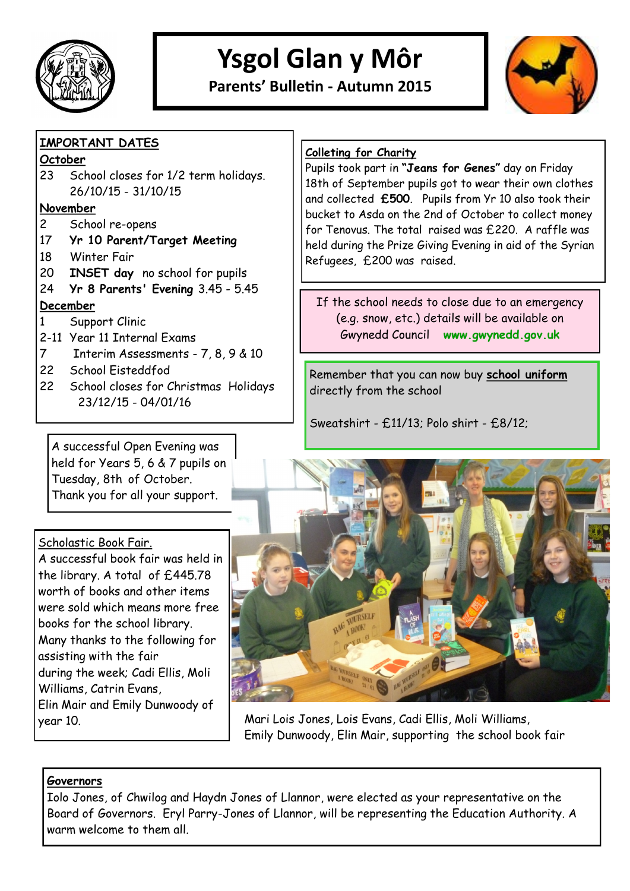

# **Ysgol Glan y Môr**

**Parents' Bulletin - Autumn 2015**



# **IMPORTANT DATES**

#### **October**

23 School closes for 1/2 term holidays. 26/10/15 - 31/10/15

#### **November**

- 2 School re-opens
- 17 **Yr 10 Parent/Target Meeting**
- 18 Winter Fair
- 20 **INSET day** no school for pupils
- 24 **Yr 8 Parents' Evening** 3.45 5.45 **December**
- 1 Support Clinic
- 2-11 Year 11 Internal Exams
- 7 Interim Assessments 7, 8, 9 & 10
- 22 School Eisteddfod
- 22 School closes for Christmas Holidays 23/12/15 - 04/01/16

# **Colleting for Charity**

Pupils took part in **"Jeans for Genes"** day on Friday 18th of September pupils got to wear their own clothes and collected **£500**. Pupils from Yr 10 also took their bucket to Asda on the 2nd of October to collect money for Tenovus. The total raised was £220. A raffle was held during the Prize Giving Evening in aid of the Syrian Refugees, £200 was raised.

If the school needs to close due to an emergency (e.g. snow, etc.) details will be available on Gwynedd Council **www.gwynedd.gov.uk** 

Remember that you can now buy **school uniform** directly from the school

Sweatshirt - £11/13; Polo shirt - £8/12;

A successful Open Evening was held for Years 5, 6 & 7 pupils on Tuesday, 8th of October. Thank you for all your support.

# Scholastic Book Fair.

A successful book fair was held in the library. A total of £445.78 worth of books and other items were sold which means more free books for the school library. Many thanks to the following for assisting with the fair during the week; Cadi Ellis, Moli Williams, Catrin Evans, Elin Mair and Emily Dunwoody of



year 10. Mari Lois Jones, Lois Evans, Cadi Ellis, Moli Williams, Emily Dunwoody, Elin Mair, supporting the school book fair

#### **Governors**

Iolo Jones, of Chwilog and Haydn Jones of Llannor, were elected as your representative on the Board of Governors. Eryl Parry-Jones of Llannor, will be representing the Education Authority. A warm welcome to them all.